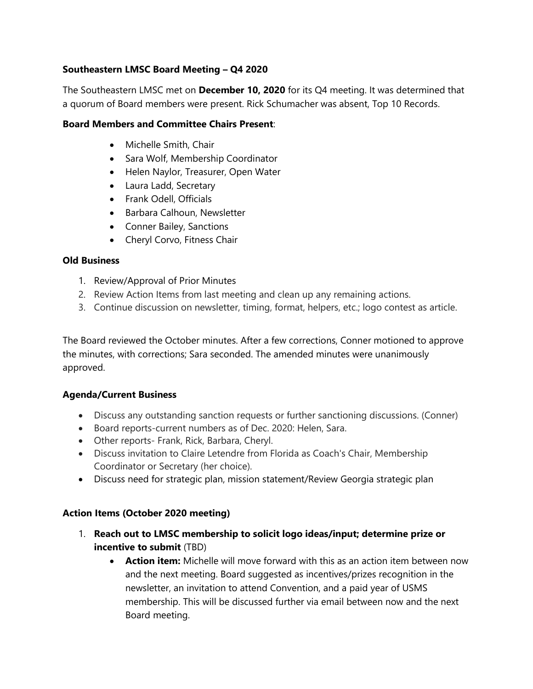### **Southeastern LMSC Board Meeting – Q4 2020**

The Southeastern LMSC met on **December 10, 2020** for its Q4 meeting. It was determined that a quorum of Board members were present. Rick Schumacher was absent, Top 10 Records.

### **Board Members and Committee Chairs Present**:

- Michelle Smith, Chair
- Sara Wolf, Membership Coordinator
- Helen Naylor, Treasurer, Open Water
- Laura Ladd, Secretary
- Frank Odell, Officials
- Barbara Calhoun, Newsletter
- Conner Bailey, Sanctions
- Cheryl Corvo, Fitness Chair

### **Old Business**

- 1. Review/Approval of Prior Minutes
- 2. Review Action Items from last meeting and clean up any remaining actions.
- 3. Continue discussion on newsletter, timing, format, helpers, etc.; logo contest as article.

The Board reviewed the October minutes. After a few corrections, Conner motioned to approve the minutes, with corrections; Sara seconded. The amended minutes were unanimously approved.

### **Agenda/Current Business**

- Discuss any outstanding sanction requests or further sanctioning discussions. (Conner)
- Board reports-current numbers as of Dec. 2020: Helen, Sara.
- Other reports- Frank, Rick, Barbara, Cheryl.
- Discuss invitation to Claire Letendre from Florida as Coach's Chair, Membership Coordinator or Secretary (her choice).
- Discuss need for strategic plan, mission statement/Review Georgia strategic plan

### **Action Items (October 2020 meeting)**

- 1. **Reach out to LMSC membership to solicit logo ideas/input; determine prize or incentive to submit** (TBD)
	- **Action item:** Michelle will move forward with this as an action item between now and the next meeting. Board suggested as incentives/prizes recognition in the newsletter, an invitation to attend Convention, and a paid year of USMS membership. This will be discussed further via email between now and the next Board meeting.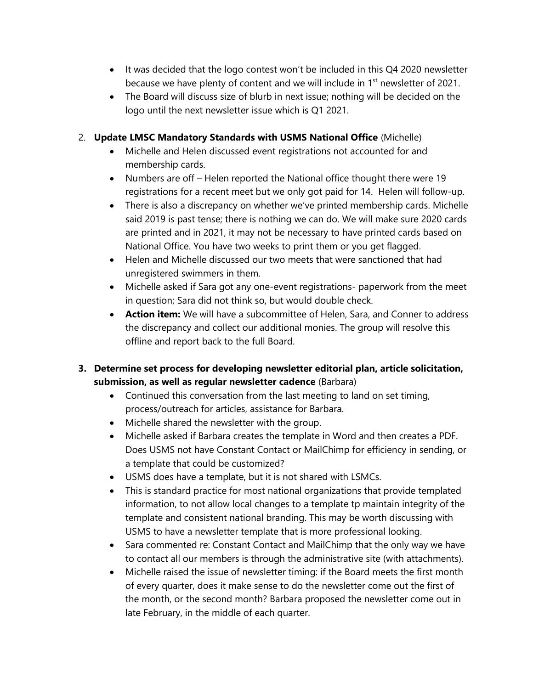- It was decided that the logo contest won't be included in this Q4 2020 newsletter because we have plenty of content and we will include in 1<sup>st</sup> newsletter of 2021.
- The Board will discuss size of blurb in next issue; nothing will be decided on the logo until the next newsletter issue which is Q1 2021.

### 2. **Update LMSC Mandatory Standards with USMS National Office** (Michelle)

- Michelle and Helen discussed event registrations not accounted for and membership cards.
- Numbers are off Helen reported the National office thought there were 19 registrations for a recent meet but we only got paid for 14. Helen will follow-up.
- There is also a discrepancy on whether we've printed membership cards. Michelle said 2019 is past tense; there is nothing we can do. We will make sure 2020 cards are printed and in 2021, it may not be necessary to have printed cards based on National Office. You have two weeks to print them or you get flagged.
- Helen and Michelle discussed our two meets that were sanctioned that had unregistered swimmers in them.
- Michelle asked if Sara got any one-event registrations- paperwork from the meet in question; Sara did not think so, but would double check.
- **Action item:** We will have a subcommittee of Helen, Sara, and Conner to address the discrepancy and collect our additional monies. The group will resolve this offline and report back to the full Board.

# **3. Determine set process for developing newsletter editorial plan, article solicitation, submission, as well as regular newsletter cadence** (Barbara)

- Continued this conversation from the last meeting to land on set timing, process/outreach for articles, assistance for Barbara.
- Michelle shared the newsletter with the group.
- Michelle asked if Barbara creates the template in Word and then creates a PDF. Does USMS not have Constant Contact or MailChimp for efficiency in sending, or a template that could be customized?
- USMS does have a template, but it is not shared with LSMCs.
- This is standard practice for most national organizations that provide templated information, to not allow local changes to a template tp maintain integrity of the template and consistent national branding. This may be worth discussing with USMS to have a newsletter template that is more professional looking.
- Sara commented re: Constant Contact and MailChimp that the only way we have to contact all our members is through the administrative site (with attachments).
- Michelle raised the issue of newsletter timing: if the Board meets the first month of every quarter, does it make sense to do the newsletter come out the first of the month, or the second month? Barbara proposed the newsletter come out in late February, in the middle of each quarter.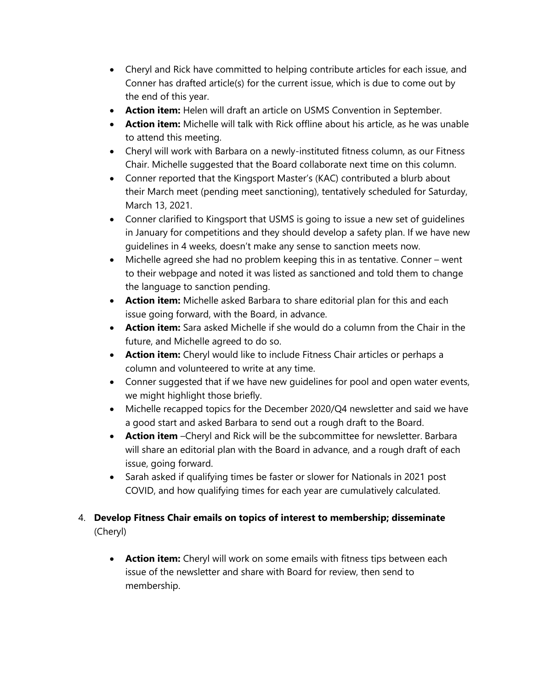- Cheryl and Rick have committed to helping contribute articles for each issue, and Conner has drafted article(s) for the current issue, which is due to come out by the end of this year.
- **Action item:** Helen will draft an article on USMS Convention in September.
- **Action item:** Michelle will talk with Rick offline about his article, as he was unable to attend this meeting.
- Cheryl will work with Barbara on a newly-instituted fitness column, as our Fitness Chair. Michelle suggested that the Board collaborate next time on this column.
- Conner reported that the Kingsport Master's (KAC) contributed a blurb about their March meet (pending meet sanctioning), tentatively scheduled for Saturday, March 13, 2021.
- Conner clarified to Kingsport that USMS is going to issue a new set of guidelines in January for competitions and they should develop a safety plan. If we have new guidelines in 4 weeks, doesn't make any sense to sanction meets now.
- Michelle agreed she had no problem keeping this in as tentative. Conner went to their webpage and noted it was listed as sanctioned and told them to change the language to sanction pending.
- **Action item:** Michelle asked Barbara to share editorial plan for this and each issue going forward, with the Board, in advance.
- **Action item:** Sara asked Michelle if she would do a column from the Chair in the future, and Michelle agreed to do so.
- **Action item:** Cheryl would like to include Fitness Chair articles or perhaps a column and volunteered to write at any time.
- Conner suggested that if we have new guidelines for pool and open water events, we might highlight those briefly.
- Michelle recapped topics for the December 2020/Q4 newsletter and said we have a good start and asked Barbara to send out a rough draft to the Board.
- **Action item** –Cheryl and Rick will be the subcommittee for newsletter. Barbara will share an editorial plan with the Board in advance, and a rough draft of each issue, going forward.
- Sarah asked if qualifying times be faster or slower for Nationals in 2021 post COVID, and how qualifying times for each year are cumulatively calculated.
- 4. **Develop Fitness Chair emails on topics of interest to membership; disseminate**  (Cheryl)
	- **Action item:** Cheryl will work on some emails with fitness tips between each issue of the newsletter and share with Board for review, then send to membership.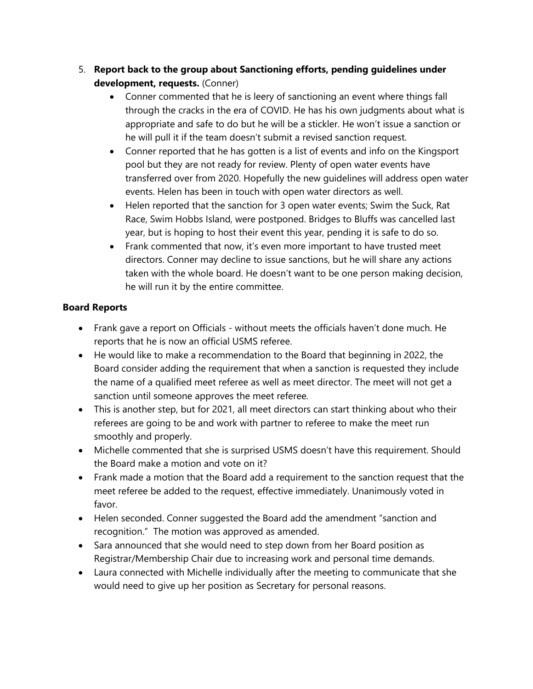# 5. **Report back to the group about Sanctioning efforts, pending guidelines under development, requests.** (Conner)

- Conner commented that he is leery of sanctioning an event where things fall through the cracks in the era of COVID. He has his own judgments about what is appropriate and safe to do but he will be a stickler. He won't issue a sanction or he will pull it if the team doesn't submit a revised sanction request.
- Conner reported that he has gotten is a list of events and info on the Kingsport pool but they are not ready for review. Plenty of open water events have transferred over from 2020. Hopefully the new guidelines will address open water events. Helen has been in touch with open water directors as well.
- Helen reported that the sanction for 3 open water events; Swim the Suck, Rat Race, Swim Hobbs Island, were postponed. Bridges to Bluffs was cancelled last year, but is hoping to host their event this year, pending it is safe to do so.
- Frank commented that now, it's even more important to have trusted meet directors. Conner may decline to issue sanctions, but he will share any actions taken with the whole board. He doesn't want to be one person making decision, he will run it by the entire committee.

# **Board Reports**

- Frank gave a report on Officials without meets the officials haven't done much. He reports that he is now an official USMS referee.
- He would like to make a recommendation to the Board that beginning in 2022, the Board consider adding the requirement that when a sanction is requested they include the name of a qualified meet referee as well as meet director. The meet will not get a sanction until someone approves the meet referee.
- This is another step, but for 2021, all meet directors can start thinking about who their referees are going to be and work with partner to referee to make the meet run smoothly and properly.
- Michelle commented that she is surprised USMS doesn't have this requirement. Should the Board make a motion and vote on it?
- Frank made a motion that the Board add a requirement to the sanction request that the meet referee be added to the request, effective immediately. Unanimously voted in favor.
- Helen seconded. Conner suggested the Board add the amendment "sanction and recognition." The motion was approved as amended.
- Sara announced that she would need to step down from her Board position as Registrar/Membership Chair due to increasing work and personal time demands.
- Laura connected with Michelle individually after the meeting to communicate that she would need to give up her position as Secretary for personal reasons.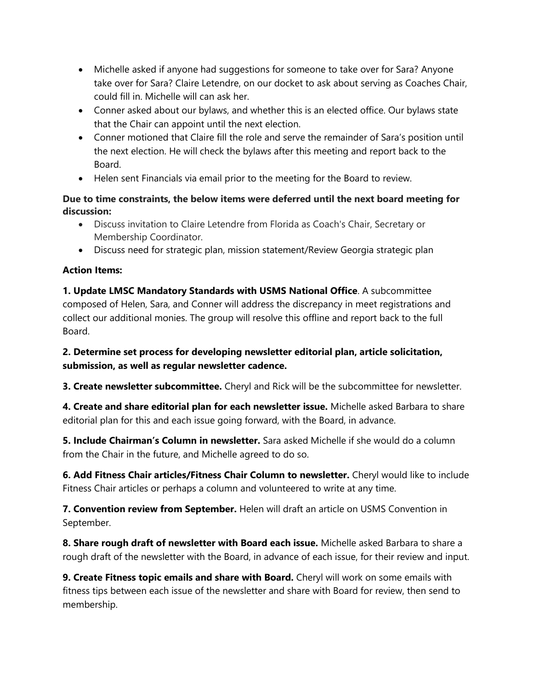- Michelle asked if anyone had suggestions for someone to take over for Sara? Anyone take over for Sara? Claire Letendre, on our docket to ask about serving as Coaches Chair, could fill in. Michelle will can ask her.
- Conner asked about our bylaws, and whether this is an elected office. Our bylaws state that the Chair can appoint until the next election.
- Conner motioned that Claire fill the role and serve the remainder of Sara's position until the next election. He will check the bylaws after this meeting and report back to the Board.
- Helen sent Financials via email prior to the meeting for the Board to review.

### **Due to time constraints, the below items were deferred until the next board meeting for discussion:**

- Discuss invitation to Claire Letendre from Florida as Coach's Chair, Secretary or Membership Coordinator.
- Discuss need for strategic plan, mission statement/Review Georgia strategic plan

# **Action Items:**

**1. Update LMSC Mandatory Standards with USMS National Office**. A subcommittee composed of Helen, Sara, and Conner will address the discrepancy in meet registrations and collect our additional monies. The group will resolve this offline and report back to the full Board.

**2. Determine set process for developing newsletter editorial plan, article solicitation, submission, as well as regular newsletter cadence.** 

**3. Create newsletter subcommittee.** Cheryl and Rick will be the subcommittee for newsletter.

**4. Create and share editorial plan for each newsletter issue.** Michelle asked Barbara to share editorial plan for this and each issue going forward, with the Board, in advance.

**5. Include Chairman's Column in newsletter.** Sara asked Michelle if she would do a column from the Chair in the future, and Michelle agreed to do so.

**6. Add Fitness Chair articles/Fitness Chair Column to newsletter.** Cheryl would like to include Fitness Chair articles or perhaps a column and volunteered to write at any time.

**7. Convention review from September.** Helen will draft an article on USMS Convention in September.

**8. Share rough draft of newsletter with Board each issue.** Michelle asked Barbara to share a rough draft of the newsletter with the Board, in advance of each issue, for their review and input.

**9. Create Fitness topic emails and share with Board.** Cheryl will work on some emails with fitness tips between each issue of the newsletter and share with Board for review, then send to membership.